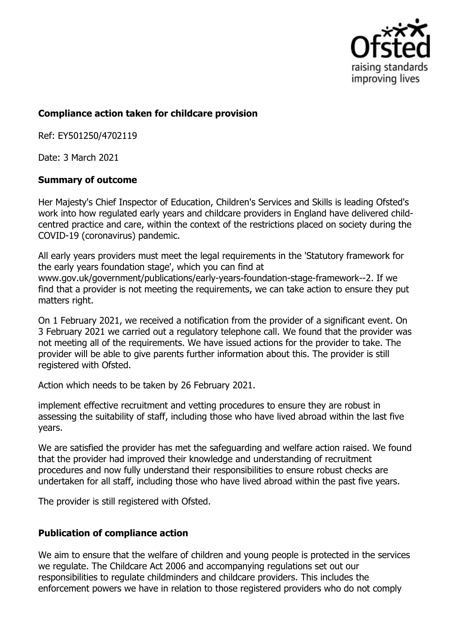

## **Compliance action taken for childcare provision**

Ref: EY501250/4702119

Date: 3 March 2021

## **Summary of outcome**

Her Majesty's Chief Inspector of Education, Children's Services and Skills is leading Ofsted's work into how regulated early years and childcare providers in England have delivered childcentred practice and care, within the context of the restrictions placed on society during the COVID-19 (coronavirus) pandemic.

All early years providers must meet the legal requirements in the 'Statutory framework for the early years foundation stage', which you can find at www.gov.uk/government/publications/early-years-foundation-stage-framework--2. If we find that a provider is not meeting the requirements, we can take action to ensure they put matters right.

On 1 February 2021, we received a notification from the provider of a significant event. On 3 February 2021 we carried out a regulatory telephone call. We found that the provider was not meeting all of the requirements. We have issued actions for the provider to take. The provider will be able to give parents further information about this. The provider is still registered with Ofsted.

Action which needs to be taken by 26 February 2021.

implement effective recruitment and vetting procedures to ensure they are robust in assessing the suitability of staff, including those who have lived abroad within the last five years.

We are satisfied the provider has met the safeguarding and welfare action raised. We found that the provider had improved their knowledge and understanding of recruitment procedures and now fully understand their responsibilities to ensure robust checks are undertaken for all staff, including those who have lived abroad within the past five years.

The provider is still registered with Ofsted.

## **Publication of compliance action**

We aim to ensure that the welfare of children and young people is protected in the services we regulate. The Childcare Act 2006 and accompanying regulations set out our responsibilities to regulate childminders and childcare providers. This includes the enforcement powers we have in relation to those registered providers who do not comply